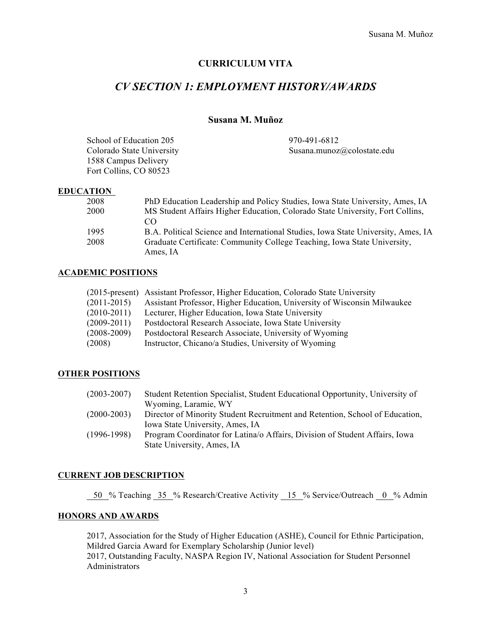### **CURRICULUM VITA**

# *CV SECTION 1: EMPLOYMENT HISTORY/AWARDS*

### **Susana M. Muñoz**

| School of Education 205   | 970-491-6812               |
|---------------------------|----------------------------|
| Colorado State University | Susana.munoz@colostate.edu |
| 1588 Campus Delivery      |                            |
| Fort Collins, CO 80523    |                            |

### **EDUCATION**

| 2008 | PhD Education Leadership and Policy Studies, Iowa State University, Ames, IA      |
|------|-----------------------------------------------------------------------------------|
| 2000 | MS Student Affairs Higher Education, Colorado State University, Fort Collins,     |
|      | CO                                                                                |
| 1995 | B.A. Political Science and International Studies, Iowa State University, Ames, IA |
| 2008 | Graduate Certificate: Community College Teaching, Iowa State University,          |
|      | Ames, IA                                                                          |

### **ACADEMIC POSITIONS**

|                 | (2015-present) Assistant Professor, Higher Education, Colorado State University |
|-----------------|---------------------------------------------------------------------------------|
| $(2011-2015)$   | Assistant Professor, Higher Education, University of Wisconsin Milwaukee        |
| $(2010-2011)$   | Lecturer, Higher Education, Iowa State University                               |
| $(2009 - 2011)$ | Postdoctoral Research Associate, Iowa State University                          |
| $(2008 - 2009)$ | Postdoctoral Research Associate, University of Wyoming                          |
| (2008)          | Instructor, Chicano/a Studies, University of Wyoming                            |

### **OTHER POSITIONS**

| $(2003 - 2007)$ | Student Retention Specialist, Student Educational Opportunity, University of |
|-----------------|------------------------------------------------------------------------------|
|                 | Wyoming, Laramie, WY                                                         |
| $(2000-2003)$   | Director of Minority Student Recruitment and Retention, School of Education, |
|                 | Iowa State University, Ames, IA                                              |
| $(1996-1998)$   | Program Coordinator for Latina/o Affairs, Division of Student Affairs, Iowa  |
|                 | State University, Ames, IA                                                   |

### **CURRENT JOB DESCRIPTION**

50 % Teaching 35 % Research/Creative Activity 15 % Service/Outreach 0 % Admin

### **HONORS AND AWARDS**

2017, Association for the Study of Higher Education (ASHE), Council for Ethnic Participation, Mildred Garcia Award for Exemplary Scholarship (Junior level) 2017, Outstanding Faculty, NASPA Region IV, National Association for Student Personnel Administrators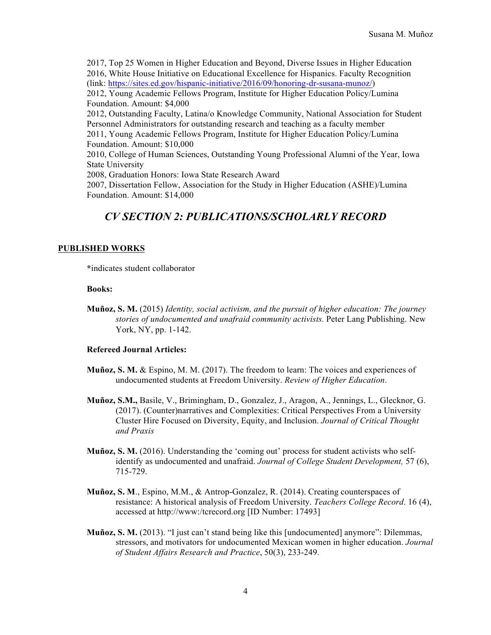2017, Top 25 Women in Higher Education and Beyond, Diverse Issues in Higher Education 2016, White House Initiative on Educational Excellence for Hispanics. Faculty Recognition (link: https://sites.ed.gov/hispanic-initiative/2016/09/honoring-dr-susana-munoz/) 2012, Young Academic Fellows Program, Institute for Higher Education Policy/Lumina Foundation. Amount: \$4,000 2012, Outstanding Faculty, Latina/o Knowledge Community, National Association for Student Personnel Administrators for outstanding research and teaching as a faculty member 2011, Young Academic Fellows Program, Institute for Higher Education Policy/Lumina Foundation. Amount: \$10,000 2010, College of Human Sciences, Outstanding Young Professional Alumni of the Year, Iowa State University 2008, Graduation Honors: Iowa State Research Award

2007, Dissertation Fellow, Association for the Study in Higher Education (ASHE)/Lumina Foundation. Amount: \$14,000

# *CV SECTION 2: PUBLICATIONS/SCHOLARLY RECORD*

### **PUBLISHED WORKS**

**\***indicates student collaborator

#### **Books:**

**Muñoz, S. M.** (2015) *Identity, social activism, and the pursuit of higher education: The journey stories of undocumented and unafraid community activists.* Peter Lang Publishing. New York, NY, pp. 1-142.

### **Refereed Journal Articles:**

- **Muñoz, S. M.** & Espino, M. M. (2017). The freedom to learn: The voices and experiences of undocumented students at Freedom University. *Review of Higher Education*.
- **Muñoz, S.M.,** Basile, V., Brimingham, D., Gonzalez, J., Aragon, A., Jennings, L., Glecknor, G. (2017). (Counter)narratives and Complexities: Critical Perspectives From a University Cluster Hire Focused on Diversity, Equity, and Inclusion. *Journal of Critical Thought and Praxis*
- **Muñoz, S. M.** (2016). Understanding the 'coming out' process for student activists who selfidentify as undocumented and unafraid. *Journal of College Student Development,* 57 (6), 715-729.
- **Muñoz, S. M**., Espino, M.M., & Antrop-Gonzalez, R. (2014). Creating counterspaces of resistance: A historical analysis of Freedom University. *Teachers College Record*. 16 (4), accessed at http://www:/tcrecord.org [ID Number: 17493]
- **Muñoz, S. M.** (2013). "I just can't stand being like this [undocumented] anymore": Dilemmas, stressors, and motivators for undocumented Mexican women in higher education. *Journal of Student Affairs Research and Practice*, 50(3), 233-249.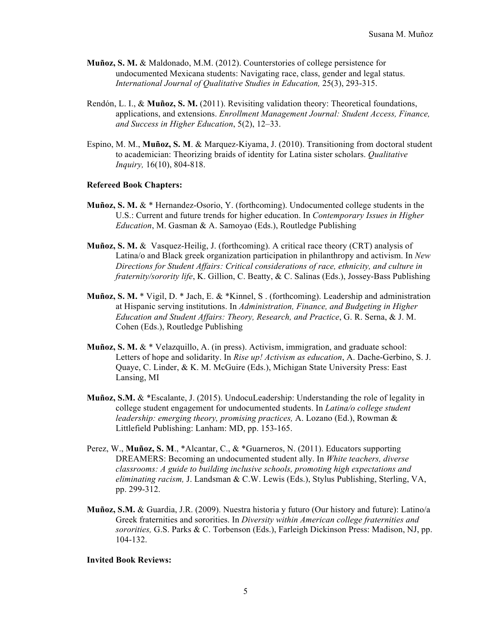- **Muñoz, S. M.** & Maldonado, M.M. (2012). Counterstories of college persistence for undocumented Mexicana students: Navigating race, class, gender and legal status. *International Journal of Qualitative Studies in Education,* 25(3), 293-315.
- Rendón, L. I., & **Muñoz, S. M.** (2011). Revisiting validation theory: Theoretical foundations, applications, and extensions. *Enrollment Management Journal: Student Access, Finance, and Success in Higher Education*, 5(2), 12–33.
- Espino, M. M., **Muñoz, S. M**. & Marquez-Kiyama, J. (2010). Transitioning from doctoral student to academician: Theorizing braids of identity for Latina sister scholars. *Qualitative Inquiry,* 16(10), 804-818.

#### **Refereed Book Chapters:**

- **Muñoz, S. M.** & \* Hernandez-Osorio, Y. (forthcoming). Undocumented college students in the U.S.: Current and future trends for higher education. In *Contemporary Issues in Higher Education*, M. Gasman & A. Samoyao (Eds.), Routledge Publishing
- **Muñoz, S. M.** & Vasquez-Heilig, J. (forthcoming). A critical race theory (CRT) analysis of Latina/o and Black greek organization participation in philanthropy and activism. In *New Directions for Student Affairs: Critical considerations of race, ethnicity, and culture in fraternity/sorority life*, K. Gillion, C. Beatty, & C. Salinas (Eds.), Jossey-Bass Publishing
- **Muñoz, S. M.** \* Vigil, D. \* Jach, E. & \*Kinnel, S . (forthcoming). Leadership and administration at Hispanic serving institutions. In *Administration, Finance, and Budgeting in Higher Education and Student Affairs: Theory, Research, and Practice*, G. R. Serna, & J. M. Cohen (Eds.), Routledge Publishing
- **Muñoz, S. M.** & \* Velazquillo, A. (in press). Activism, immigration, and graduate school: Letters of hope and solidarity. In *Rise up! Activism as education*, A. Dache-Gerbino, S. J. Quaye, C. Linder, & K. M. McGuire (Eds.), Michigan State University Press: East Lansing, MI
- **Muñoz, S.M.** & \*Escalante, J. (2015). UndocuLeadership: Understanding the role of legality in college student engagement for undocumented students. In *Latina/o college student leadership: emerging theory, promising practices,* A. Lozano (Ed.), Rowman & Littlefield Publishing: Lanham: MD, pp. 153-165.
- Perez, W., **Muñoz, S. M**., \*Alcantar, C., & \*Guarneros, N. (2011). Educators supporting DREAMERS: Becoming an undocumented student ally. In *White teachers, diverse classrooms: A guide to building inclusive schools, promoting high expectations and eliminating racism,* J. Landsman & C.W. Lewis (Eds.), Stylus Publishing, Sterling, VA, pp. 299-312.
- **Muñoz, S.M.** & Guardia, J.R. (2009). Nuestra historia y futuro (Our history and future): Latino/a Greek fraternities and sororities. In *Diversity within American college fraternities and sororities,* G.S. Parks & C. Torbenson (Eds.), Farleigh Dickinson Press: Madison, NJ, pp. 104-132.

### **Invited Book Reviews:**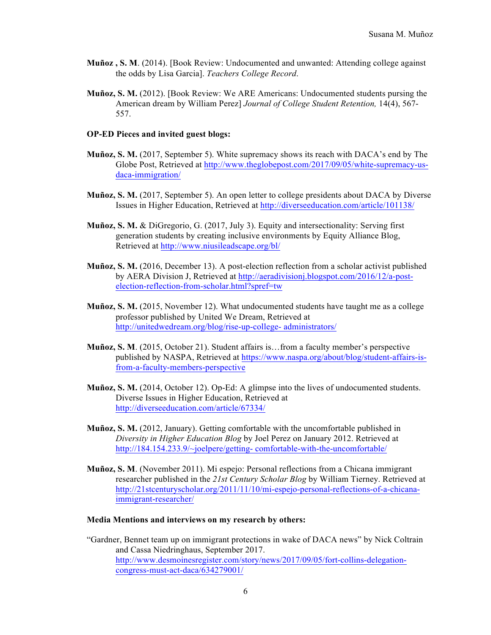- **Muñoz , S. M**. (2014). [Book Review: Undocumented and unwanted: Attending college against the odds by Lisa Garcia]. *Teachers College Record*.
- **Muñoz, S. M.** (2012). [Book Review: We ARE Americans: Undocumented students pursing the American dream by William Perez] *Journal of College Student Retention,* 14(4), 567- 557.

#### **OP-ED Pieces and invited guest blogs:**

- **Muñoz, S. M.** (2017, September 5). White supremacy shows its reach with DACA's end by The Globe Post, Retrieved at http://www.theglobepost.com/2017/09/05/white-supremacy-usdaca-immigration/
- **Muñoz, S. M.** (2017, September 5). An open letter to college presidents about DACA by Diverse Issues in Higher Education, Retrieved at http://diverseeducation.com/article/101138/
- **Muñoz, S. M.** & DiGregorio, G. (2017, July 3). Equity and intersectionality: Serving first generation students by creating inclusive environments by Equity Alliance Blog, Retrieved at http://www.niusileadscape.org/bl/
- **Muñoz, S. M.** (2016, December 13). A post-election reflection from a scholar activist published by AERA Division J, Retrieved at http://aeradivisionj.blogspot.com/2016/12/a-postelection-reflection-from-scholar.html?spref=tw
- **Muñoz, S. M.** (2015, November 12). What undocumented students have taught me as a college professor published by United We Dream, Retrieved at http://unitedwedream.org/blog/rise-up-college- administrators/
- **Muñoz, S. M**. (2015, October 21). Student affairs is…from a faculty member's perspective published by NASPA, Retrieved at https://www.naspa.org/about/blog/student-affairs-isfrom-a-faculty-members-perspective
- **Muñoz, S. M.** (2014, October 12). Op-Ed: A glimpse into the lives of undocumented students. Diverse Issues in Higher Education, Retrieved at http://diverseeducation.com/article/67334/
- **Muñoz, S. M.** (2012, January). Getting comfortable with the uncomfortable published in *Diversity in Higher Education Blog* by Joel Perez on January 2012. Retrieved at http://184.154.233.9/~joelpere/getting- comfortable-with-the-uncomfortable/
- **Muñoz, S. M**. (November 2011). Mi espejo: Personal reflections from a Chicana immigrant researcher published in the *21st Century Scholar Blog* by William Tierney. Retrieved at http://21stcenturyscholar.org/2011/11/10/mi-espejo-personal-reflections-of-a-chicanaimmigrant-researcher/

### **Media Mentions and interviews on my research by others:**

"Gardner, Bennet team up on immigrant protections in wake of DACA news" by Nick Coltrain and Cassa Niedringhaus, September 2017. http://www.desmoinesregister.com/story/news/2017/09/05/fort-collins-delegationcongress-must-act-daca/634279001/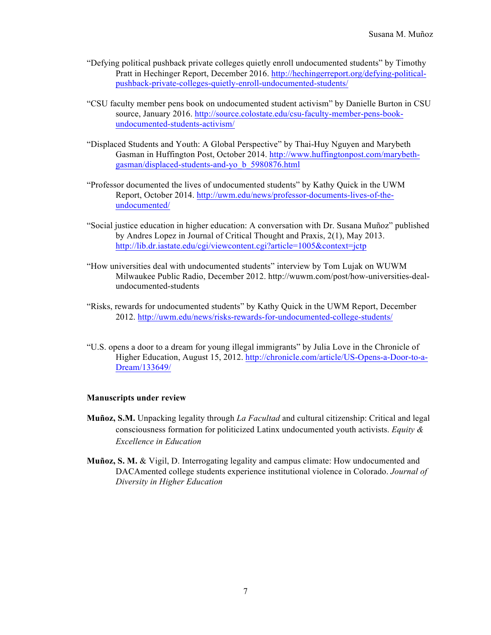- "Defying political pushback private colleges quietly enroll undocumented students" by Timothy Pratt in Hechinger Report, December 2016. http://hechingerreport.org/defying-politicalpushback-private-colleges-quietly-enroll-undocumented-students/
- "CSU faculty member pens book on undocumented student activism" by Danielle Burton in CSU source, January 2016. http://source.colostate.edu/csu-faculty-member-pens-bookundocumented-students-activism/
- "Displaced Students and Youth: A Global Perspective" by Thai-Huy Nguyen and Marybeth Gasman in Huffington Post, October 2014. http://www.huffingtonpost.com/marybethgasman/displaced-students-and-yo\_b\_5980876.html
- "Professor documented the lives of undocumented students" by Kathy Quick in the UWM Report, October 2014. http://uwm.edu/news/professor-documents-lives-of-theundocumented/
- "Social justice education in higher education: A conversation with Dr. Susana Muñoz" published by Andres Lopez in Journal of Critical Thought and Praxis, 2(1), May 2013. http://lib.dr.iastate.edu/cgi/viewcontent.cgi?article=1005&context=jctp
- "How universities deal with undocumented students" interview by Tom Lujak on WUWM Milwaukee Public Radio, December 2012. http://wuwm.com/post/how-universities-dealundocumented-students
- "Risks, rewards for undocumented students" by Kathy Quick in the UWM Report, December 2012. http://uwm.edu/news/risks-rewards-for-undocumented-college-students/
- "U.S. opens a door to a dream for young illegal immigrants" by Julia Love in the Chronicle of Higher Education, August 15, 2012. http://chronicle.com/article/US-Opens-a-Door-to-a-Dream/133649/

### **Manuscripts under review**

- **Muñoz, S.M.** Unpacking legality through *La Facultad* and cultural citizenship: Critical and legal consciousness formation for politicized Latinx undocumented youth activists. *Equity & Excellence in Education*
- **Muñoz, S. M.** & Vigil, D. Interrogating legality and campus climate: How undocumented and DACAmented college students experience institutional violence in Colorado. *Journal of Diversity in Higher Education*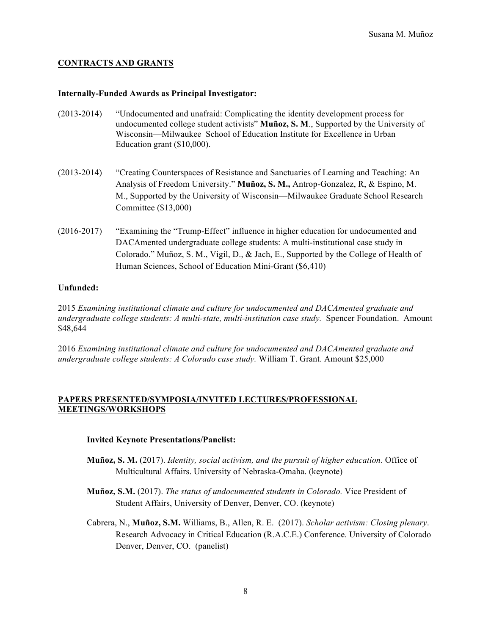### **CONTRACTS AND GRANTS**

#### **Internally-Funded Awards as Principal Investigator:**

- (2013-2014) "Undocumented and unafraid: Complicating the identity development process for undocumented college student activists" **Muñoz, S. M**., Supported by the University of Wisconsin—Milwaukee School of Education Institute for Excellence in Urban Education grant (\$10,000).
- (2013-2014) "Creating Counterspaces of Resistance and Sanctuaries of Learning and Teaching: An Analysis of Freedom University." **Muñoz, S. M.,** Antrop-Gonzalez, R, & Espino, M. M., Supported by the University of Wisconsin—Milwaukee Graduate School Research Committee (\$13,000)
- (2016-2017) "Examining the "Trump-Effect" influence in higher education for undocumented and DACAmented undergraduate college students: A multi-institutional case study in Colorado." Muñoz, S. M., Vigil, D., & Jach, E., Supported by the College of Health of Human Sciences, School of Education Mini-Grant (\$6,410)

### **Unfunded:**

2015 *Examining institutional climate and culture for undocumented and DACAmented graduate and undergraduate college students: A multi-state, multi-institution case study.* Spencer Foundation. Amount \$48,644

2016 *Examining institutional climate and culture for undocumented and DACAmented graduate and undergraduate college students: A Colorado case study.* William T. Grant. Amount \$25,000

### **PAPERS PRESENTED/SYMPOSIA/INVITED LECTURES/PROFESSIONAL MEETINGS/WORKSHOPS**

#### **Invited Keynote Presentations/Panelist:**

- **Muñoz, S. M.** (2017). *Identity, social activism, and the pursuit of higher education*. Office of Multicultural Affairs. University of Nebraska-Omaha. (keynote)
- **Muñoz, S.M.** (2017). *The status of undocumented students in Colorado.* Vice President of Student Affairs, University of Denver, Denver, CO. (keynote)
- Cabrera, N., **Muñoz, S.M.** Williams, B., Allen, R. E. (2017). *Scholar activism: Closing plenary*. Research Advocacy in Critical Education (R.A.C.E.) Conference*.* University of Colorado Denver, Denver, CO. (panelist)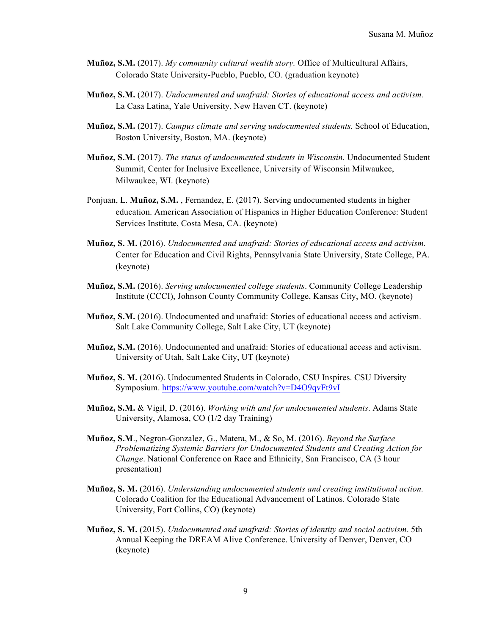- **Muñoz, S.M.** (2017). *My community cultural wealth story.* Office of Multicultural Affairs, Colorado State University-Pueblo, Pueblo, CO. (graduation keynote)
- **Muñoz, S.M.** (2017). *Undocumented and unafraid: Stories of educational access and activism.*  La Casa Latina, Yale University, New Haven CT. (keynote)
- **Muñoz, S.M.** (2017). *Campus climate and serving undocumented students.* School of Education, Boston University, Boston, MA. (keynote)
- **Muñoz, S.M.** (2017). *The status of undocumented students in Wisconsin.* Undocumented Student Summit, Center for Inclusive Excellence, University of Wisconsin Milwaukee, Milwaukee, WI. (keynote)
- Ponjuan, L. **Muñoz, S.M.** , Fernandez, E. (2017). Serving undocumented students in higher education. American Association of Hispanics in Higher Education Conference: Student Services Institute, Costa Mesa, CA. (keynote)
- **Muñoz, S. M.** (2016). *Undocumented and unafraid: Stories of educational access and activism.*  Center for Education and Civil Rights, Pennsylvania State University, State College, PA. (keynote)
- **Muñoz, S.M.** (2016). *Serving undocumented college students*. Community College Leadership Institute (CCCI), Johnson County Community College, Kansas City, MO. (keynote)
- **Muñoz, S.M.** (2016). Undocumented and unafraid: Stories of educational access and activism. Salt Lake Community College, Salt Lake City, UT (keynote)
- **Muñoz, S.M.** (2016). Undocumented and unafraid: Stories of educational access and activism. University of Utah, Salt Lake City, UT (keynote)
- **Muñoz, S. M.** (2016). Undocumented Students in Colorado, CSU Inspires. CSU Diversity Symposium. https://www.youtube.com/watch?v=D4O9qvFt9vI
- **Muñoz, S.M.** & Vigil, D. (2016). *Working with and for undocumented students*. Adams State University, Alamosa, CO (1/2 day Training)
- **Muñoz, S.M**., Negron-Gonzalez, G., Matera, M., & So, M. (2016). *Beyond the Surface Problematizing Systemic Barriers for Undocumented Students and Creating Action for Change*. National Conference on Race and Ethnicity, San Francisco, CA (3 hour presentation)
- **Muñoz, S. M.** (2016). *Understanding undocumented students and creating institutional action.* Colorado Coalition for the Educational Advancement of Latinos. Colorado State University, Fort Collins, CO) (keynote)
- **Muñoz, S. M.** (2015). *Undocumented and unafraid: Stories of identity and social activism*. 5th Annual Keeping the DREAM Alive Conference. University of Denver, Denver, CO (keynote)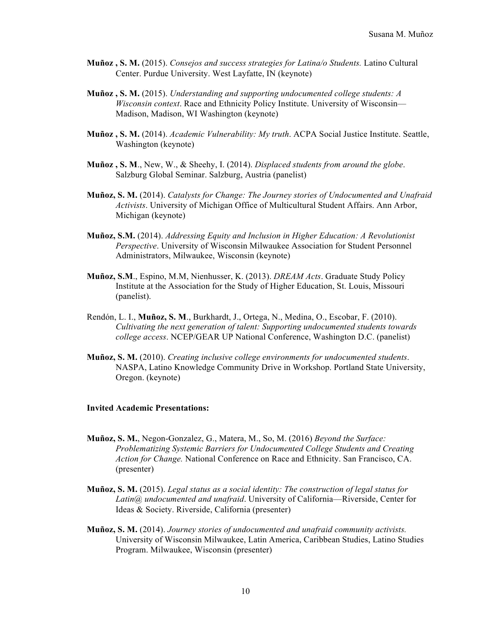- **Muñoz , S. M.** (2015). *Consejos and success strategies for Latina/o Students.* Latino Cultural Center. Purdue University. West Layfatte, IN (keynote)
- **Muñoz , S. M.** (2015). *Understanding and supporting undocumented college students: A Wisconsin context*. Race and Ethnicity Policy Institute. University of Wisconsin— Madison, Madison, WI Washington (keynote)
- **Muñoz , S. M.** (2014). *Academic Vulnerability: My truth*. ACPA Social Justice Institute. Seattle, Washington (keynote)
- **Muñoz , S. M**., New, W., & Sheehy, I. (2014). *Displaced students from around the globe*. Salzburg Global Seminar. Salzburg, Austria (panelist)
- **Muñoz, S. M.** (2014). *Catalysts for Change: The Journey stories of Undocumented and Unafraid Activists*. University of Michigan Office of Multicultural Student Affairs. Ann Arbor, Michigan (keynote)
- **Muñoz, S.M.** (2014). *Addressing Equity and Inclusion in Higher Education: A Revolutionist Perspective*. University of Wisconsin Milwaukee Association for Student Personnel Administrators, Milwaukee, Wisconsin (keynote)
- **Muñoz, S.M**., Espino, M.M, Nienhusser, K. (2013). *DREAM Acts*. Graduate Study Policy Institute at the Association for the Study of Higher Education, St. Louis, Missouri (panelist).
- Rendón, L. I., **Muñoz, S. M**., Burkhardt, J., Ortega, N., Medina, O., Escobar, F. (2010). *Cultivating the next generation of talent: Supporting undocumented students towards college access*. NCEP/GEAR UP National Conference, Washington D.C. (panelist)
- **Muñoz, S. M.** (2010). *Creating inclusive college environments for undocumented students*. NASPA, Latino Knowledge Community Drive in Workshop. Portland State University, Oregon. (keynote)

#### **Invited Academic Presentations:**

- **Muñoz, S. M.**, Negon-Gonzalez, G., Matera, M., So, M. (2016) *Beyond the Surface: Problematizing Systemic Barriers for Undocumented College Students and Creating Action for Change.* National Conference on Race and Ethnicity. San Francisco, CA. (presenter)
- **Muñoz, S. M.** (2015). *Legal status as a social identity: The construction of legal status for Latin@ undocumented and unafraid*. University of California—Riverside, Center for Ideas & Society. Riverside, California (presenter)
- **Muñoz, S. M.** (2014). *Journey stories of undocumented and unafraid community activists.*  University of Wisconsin Milwaukee, Latin America, Caribbean Studies, Latino Studies Program. Milwaukee, Wisconsin (presenter)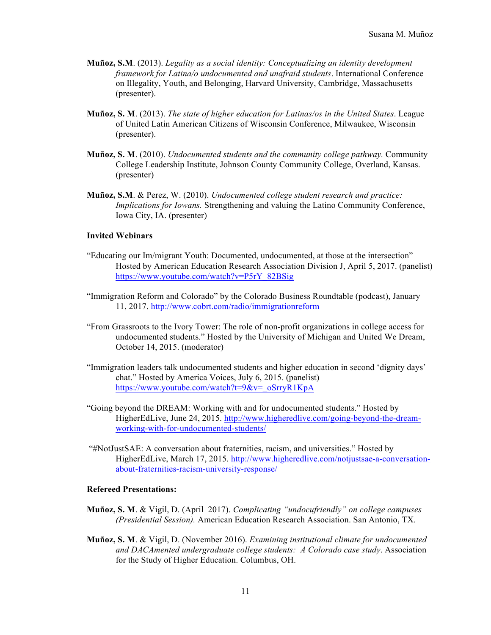- **Muñoz, S.M**. (2013). *Legality as a social identity: Conceptualizing an identity development framework for Latina/o undocumented and unafraid students*. International Conference on Illegality, Youth, and Belonging, Harvard University, Cambridge, Massachusetts (presenter).
- **Muñoz, S. M**. (2013). *The state of higher education for Latinas/os in the United States*. League of United Latin American Citizens of Wisconsin Conference, Milwaukee, Wisconsin (presenter).
- **Muñoz, S. M**. (2010). *Undocumented students and the community college pathway.* Community College Leadership Institute, Johnson County Community College, Overland, Kansas. (presenter)
- **Muñoz, S.M**. & Perez, W. (2010). *Undocumented college student research and practice: Implications for Iowans.* Strengthening and valuing the Latino Community Conference, Iowa City, IA. (presenter)

### **Invited Webinars**

- "Educating our Im/migrant Youth: Documented, undocumented, at those at the intersection" Hosted by American Education Research Association Division J, April 5, 2017. (panelist) https://www.youtube.com/watch?v=P5rY\_82BSig
- "Immigration Reform and Colorado" by the Colorado Business Roundtable (podcast), January 11, 2017. http://www.cobrt.com/radio/immigrationreform
- "From Grassroots to the Ivory Tower: The role of non-profit organizations in college access for undocumented students." Hosted by the University of Michigan and United We Dream, October 14, 2015. (moderator)
- "Immigration leaders talk undocumented students and higher education in second 'dignity days' chat." Hosted by America Voices, July 6, 2015. (panelist) https://www.youtube.com/watch?t=9&v=\_oSrryR1KpA
- "Going beyond the DREAM: Working with and for undocumented students." Hosted by HigherEdLive, June 24, 2015. http://www.higheredlive.com/going-beyond-the-dreamworking-with-for-undocumented-students/
- "#NotJustSAE: A conversation about fraternities, racism, and universities." Hosted by HigherEdLive, March 17, 2015. http://www.higheredlive.com/notjustsae-a-conversationabout-fraternities-racism-university-response/

### **Refereed Presentations:**

- **Muñoz, S. M**. & Vigil, D. (April 2017). *Complicating "undocufriendly" on college campuses (Presidential Session).* American Education Research Association. San Antonio, TX.
- **Muñoz, S. M**. & Vigil, D. (November 2016). *Examining institutional climate for undocumented and DACAmented undergraduate college students: A Colorado case study*. Association for the Study of Higher Education. Columbus, OH.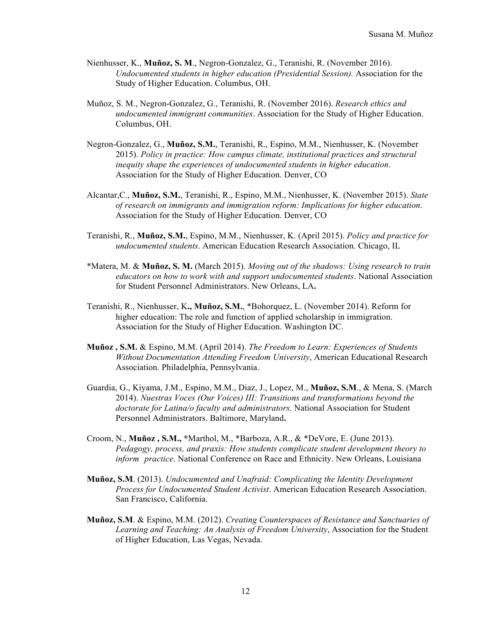- Nienhusser, K., **Muñoz, S. M**., Negron-Gonzalez, G., Teranishi, R. (November 2016). *Undocumented students in higher education (Presidential Session).* Association for the Study of Higher Education. Columbus, OH.
- Muñoz, S. M., Negron-Gonzalez, G., Teranishi, R. (November 2016). *Research ethics and undocumented immigrant communities*. Association for the Study of Higher Education. Columbus, OH.
- Negron-Gonzalez, G., **Muñoz, S.M.**, Teranishi, R., Espino, M.M., Nienhusser, K. (November 2015). *Policy in practice: How campus climate, institutional practices and structural inequity shape the experiences of undocumented students in higher education*. Association for the Study of Higher Education. Denver, CO
- Alcantar,C., **Muñoz, S.M.**, Teranishi, R., Espino, M.M., Nienhusser, K. (November 2015). *State of research on immigrants and immigration reform: Implications for higher education*. Association for the Study of Higher Education. Denver, CO
- Teranishi, R., **Muñoz, S.M.**, Espino, M.M., Nienhusser, K. (April 2015). *Policy and practice for undocumented students*. American Education Research Association. Chicago, IL
- \*Matera, M. & **Muñoz, S. M.** (March 2015). *Moving out of the shadows: Using research to train educators on how to work with and support undocumented students*. National Association for Student Personnel Administrators. New Orleans, LA**.**
- Teranishi, R., Nienhusser, K**., Muñoz, S.M.**, \*Bohorquez, L. (November 2014). Reform for higher education: The role and function of applied scholarship in immigration. Association for the Study of Higher Education. Washington DC.
- **Muñoz , S.M.** & Espino, M.M. (April 2014). *The Freedom to Learn: Experiences of Students Without Documentation Attending Freedom University*, American Educational Research Association. Philadelphia, Pennsylvania.
- Guardia, G., Kiyama, J.M., Espino, M.M., Diaz, J., Lopez, M., **Muñoz, S.M**., & Mena, S. (March 2014). *Nuestras Voces (Our Voices) III: Transitions and transformations beyond the doctorate for Latina/o faculty and administrators*. National Association for Student Personnel Administrators. Baltimore, Maryland**.**
- Croom, N., **Muñoz , S.M., \***Marthol, M., \*Barboza, A.R., & \*DeVore, E. (June 2013). *Pedagogy, process, and praxis: How students complicate student development theory to inform practice*. National Conference on Race and Ethnicity. New Orleans, Louisiana
- **Muñoz, S.M**. (2013). *Undocumented and Unafraid: Complicating the Identity Development Process for Undocumented Student Activist*. American Education Research Association. San Francisco, California.
- **Muñoz, S.M**. & Espino, M.M. (2012). *Creating Counterspaces of Resistance and Sanctuaries of Learning and Teaching: An Analysis of Freedom University*, Association for the Student of Higher Education, Las Vegas, Nevada.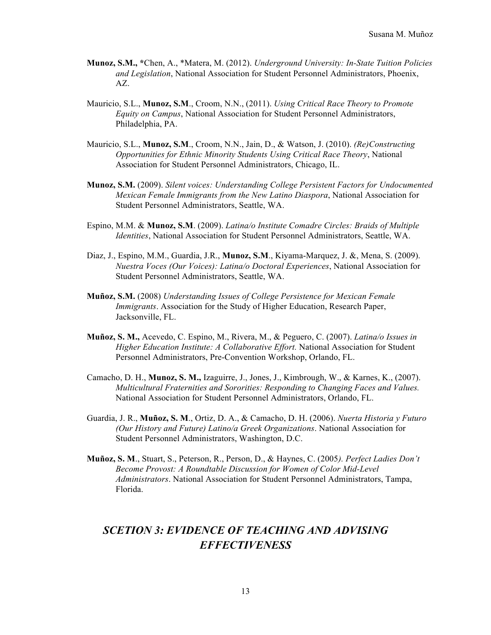- **Munoz, S.M., \***Chen, A., \*Matera, M. (2012). *Underground University: In-State Tuition Policies and Legislation*, National Association for Student Personnel Administrators, Phoenix, AZ.
- Mauricio, S.L., **Munoz, S.M**., Croom, N.N., (2011). *Using Critical Race Theory to Promote Equity on Campus*, National Association for Student Personnel Administrators, Philadelphia, PA.
- Mauricio, S.L., **Munoz, S.M**., Croom, N.N., Jain, D., & Watson, J. (2010). *(Re)Constructing Opportunities for Ethnic Minority Students Using Critical Race Theory*, National Association for Student Personnel Administrators, Chicago, IL.
- **Munoz, S.M.** (2009). *Silent voices: Understanding College Persistent Factors for Undocumented Mexican Female Immigrants from the New Latino Diaspora*, National Association for Student Personnel Administrators, Seattle, WA.
- Espino, M.M. & **Munoz, S.M**. (2009). *Latina/o Institute Comadre Circles: Braids of Multiple Identities*, National Association for Student Personnel Administrators, Seattle, WA.
- Diaz, J., Espino, M.M., Guardia, J.R., **Munoz, S.M**., Kiyama-Marquez, J. &, Mena, S. (2009). *Nuestra Voces (Our Voices): Latina/o Doctoral Experiences*, National Association for Student Personnel Administrators, Seattle, WA.
- **Muñoz, S.M.** (2008) *Understanding Issues of College Persistence for Mexican Female Immigrants*. Association for the Study of Higher Education, Research Paper, Jacksonville, FL.
- **Muñoz, S. M.,** Acevedo, C. Espino, M., Rivera, M., & Peguero, C. (2007). *Latina/o Issues in Higher Education Institute: A Collaborative Effort.* National Association for Student Personnel Administrators, Pre-Convention Workshop, Orlando, FL.
- Camacho, D. H., **Munoz, S. M.,** Izaguirre, J., Jones, J., Kimbrough, W., & Karnes, K., (2007). *Multicultural Fraternities and Sororities: Responding to Changing Faces and Values.*  National Association for Student Personnel Administrators, Orlando, FL.
- Guardia, J. R., **Muñoz, S. M**., Ortiz, D. A., & Camacho, D. H. (2006). *Nuerta Historia y Futuro (Our History and Future) Latino/a Greek Organizations*. National Association for Student Personnel Administrators, Washington, D.C.
- **Muñoz, S. M**., Stuart, S., Peterson, R., Person, D., & Haynes, C. (2005*). Perfect Ladies Don't Become Provost: A Roundtable Discussion for Women of Color Mid-Level Administrators*. National Association for Student Personnel Administrators, Tampa, Florida.

# *SCETION 3: EVIDENCE OF TEACHING AND ADVISING EFFECTIVENESS*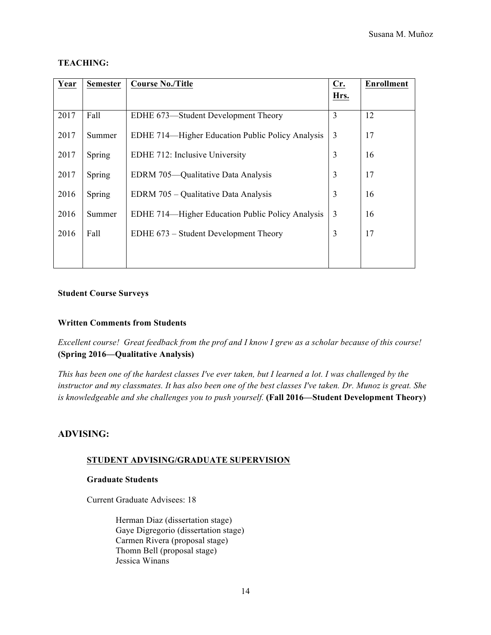### **TEACHING:**

| Year | <b>Semester</b> | <b>Course No./Title</b>                          | Cr.            | <b>Enrollment</b> |
|------|-----------------|--------------------------------------------------|----------------|-------------------|
|      |                 |                                                  | Hrs.           |                   |
| 2017 | Fall            | EDHE 673—Student Development Theory              | $\overline{3}$ | 12                |
| 2017 | Summer          | EDHE 714—Higher Education Public Policy Analysis | $\overline{3}$ | 17                |
| 2017 | Spring          | EDHE 712: Inclusive University                   | $\overline{3}$ | 16                |
| 2017 | Spring          | EDRM 705—Qualitative Data Analysis               | $\overline{3}$ | 17                |
| 2016 | Spring          | EDRM 705 – Qualitative Data Analysis             | $\overline{3}$ | 16                |
| 2016 | Summer          | EDHE 714—Higher Education Public Policy Analysis | 3              | 16                |
| 2016 | Fall            | EDHE 673 – Student Development Theory            | 3              | 17                |
|      |                 |                                                  |                |                   |

### **Student Course Surveys**

### **Written Comments from Students**

*Excellent course! Great feedback from the prof and I know I grew as a scholar because of this course!*  **(Spring 2016—Qualitative Analysis)**

*This has been one of the hardest classes I've ever taken, but I learned a lot. I was challenged by the instructor and my classmates. It has also been one of the best classes I've taken. Dr. Munoz is great. She is knowledgeable and she challenges you to push yourself.* **(Fall 2016—Student Development Theory)** 

### **ADVISING:**

### **STUDENT ADVISING/GRADUATE SUPERVISION**

### **Graduate Students**

Current Graduate Advisees: 18

Herman Diaz (dissertation stage) Gaye Digregorio (dissertation stage) Carmen Rivera (proposal stage) Thomn Bell (proposal stage) Jessica Winans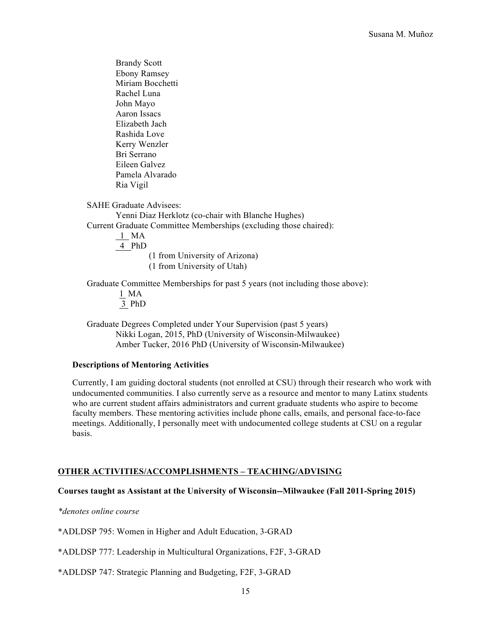Brandy Scott Ebony Ramsey Miriam Bocchetti Rachel Luna John Mayo Aaron Issacs Elizabeth Jach Rashida Love Kerry Wenzler Bri Serrano Eileen Galvez Pamela Alvarado Ria Vigil

SAHE Graduate Advisees:

Yenni Diaz Herklotz (co-chair with Blanche Hughes) Current Graduate Committee Memberships (excluding those chaired):

> 1 MA 4 PhD (1 from University of Arizona) (1 from University of Utah)

Graduate Committee Memberships for past 5 years (not including those above):

1 MA 3 PhD

Graduate Degrees Completed under Your Supervision (past 5 years) Nikki Logan, 2015, PhD (University of Wisconsin-Milwaukee) Amber Tucker, 2016 PhD (University of Wisconsin-Milwaukee)

### **Descriptions of Mentoring Activities**

Currently, I am guiding doctoral students (not enrolled at CSU) through their research who work with undocumented communities. I also currently serve as a resource and mentor to many Latinx students who are current student affairs administrators and current graduate students who aspire to become faculty members. These mentoring activities include phone calls, emails, and personal face-to-face meetings. Additionally, I personally meet with undocumented college students at CSU on a regular basis.

### **OTHER ACTIVITIES/ACCOMPLISHMENTS – TEACHING/ADVISING**

### **Courses taught as Assistant at the University of Wisconsin--Milwaukee (Fall 2011-Spring 2015)**

*\*denotes online course*

\*ADLDSP 795: Women in Higher and Adult Education, 3-GRAD

\*ADLDSP 777: Leadership in Multicultural Organizations, F2F, 3-GRAD

\*ADLDSP 747: Strategic Planning and Budgeting, F2F, 3-GRAD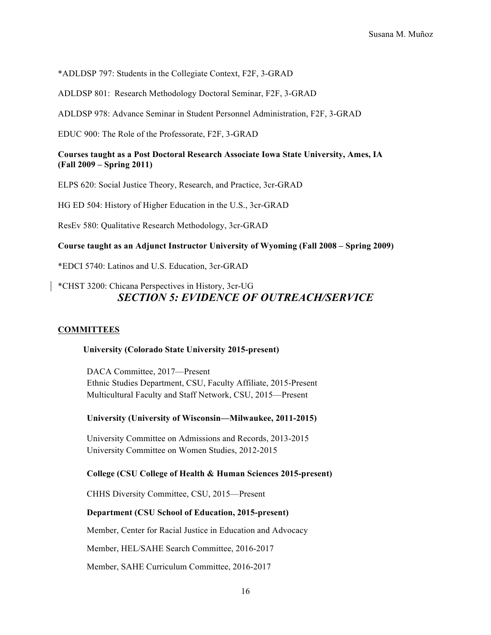\*ADLDSP 797: Students in the Collegiate Context, F2F, 3-GRAD

ADLDSP 801: Research Methodology Doctoral Seminar, F2F, 3-GRAD

ADLDSP 978: Advance Seminar in Student Personnel Administration, F2F, 3-GRAD

EDUC 900: The Role of the Professorate, F2F, 3-GRAD

### **Courses taught as a Post Doctoral Research Associate Iowa State University, Ames, IA (Fall 2009 – Spring 2011)**

ELPS 620: Social Justice Theory, Research, and Practice, 3cr-GRAD

HG ED 504: History of Higher Education in the U.S., 3cr-GRAD

ResEv 580: Qualitative Research Methodology, 3cr-GRAD

**Course taught as an Adjunct Instructor University of Wyoming (Fall 2008 – Spring 2009)**

\*EDCI 5740: Latinos and U.S. Education, 3cr-GRAD

### \*CHST 3200: Chicana Perspectives in History, 3cr-UG *SECTION 5: EVIDENCE OF OUTREACH/SERVICE*

### **COMMITTEES**

### **University (Colorado State University 2015-present)**

DACA Committee, 2017—Present Ethnic Studies Department, CSU, Faculty Affiliate, 2015-Present Multicultural Faculty and Staff Network, CSU, 2015—Present

### **University (University of Wisconsin—Milwaukee, 2011-2015)**

University Committee on Admissions and Records, 2013-2015 University Committee on Women Studies, 2012-2015

### **College (CSU College of Health & Human Sciences 2015-present)**

CHHS Diversity Committee, CSU, 2015—Present

#### **Department (CSU School of Education, 2015-present)**

Member, Center for Racial Justice in Education and Advocacy

Member, HEL/SAHE Search Committee, 2016-2017

Member, SAHE Curriculum Committee, 2016-2017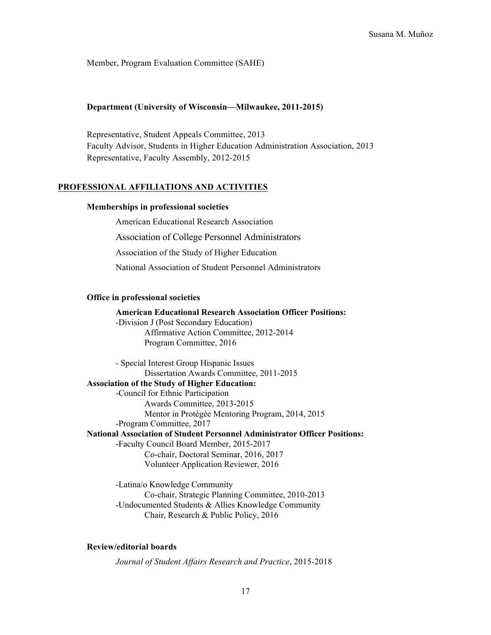Member, Program Evaluation Committee (SAHE)

### **Department (University of Wisconsin—Milwaukee, 2011-2015)**

Representative, Student Appeals Committee, 2013 Faculty Advisor, Students in Higher Education Administration Association, 2013 Representative, Faculty Assembly, 2012-2015

#### **PROFESSIONAL AFFILIATIONS AND ACTIVITIES**

#### **Memberships in professional societies**

American Educational Research Association Association of College Personnel Administrators Association of the Study of Higher Education National Association of Student Personnel Administrators

#### **Office in professional societies**

**American Educational Research Association Officer Positions:** -Division J (Post Secondary Education) Affirmative Action Committee, 2012-2014 Program Committee, 2016

- Special Interest Group Hispanic Issues Dissertation Awards Committee, 2011-2015 **Association of the Study of Higher Education:** -Council for Ethnic Participation Awards Committee, 2013-2015 Mentor in Protégée Mentoring Program, 2014, 2015 -Program Committee, 2017 **National Association of Student Personnel Administrator Officer Positions:** -Faculty Council Board Member, 2015-2017 Co-chair, Doctoral Seminar, 2016, 2017 Volunteer Application Reviewer, 2016

> -Latina/o Knowledge Community Co-chair, Strategic Planning Committee, 2010-2013 -Undocumented Students & Allies Knowledge Community Chair, Research & Public Policy, 2016

### **Review/editorial boards**

*Journal of Student Affairs Research and Practice*, 2015-2018